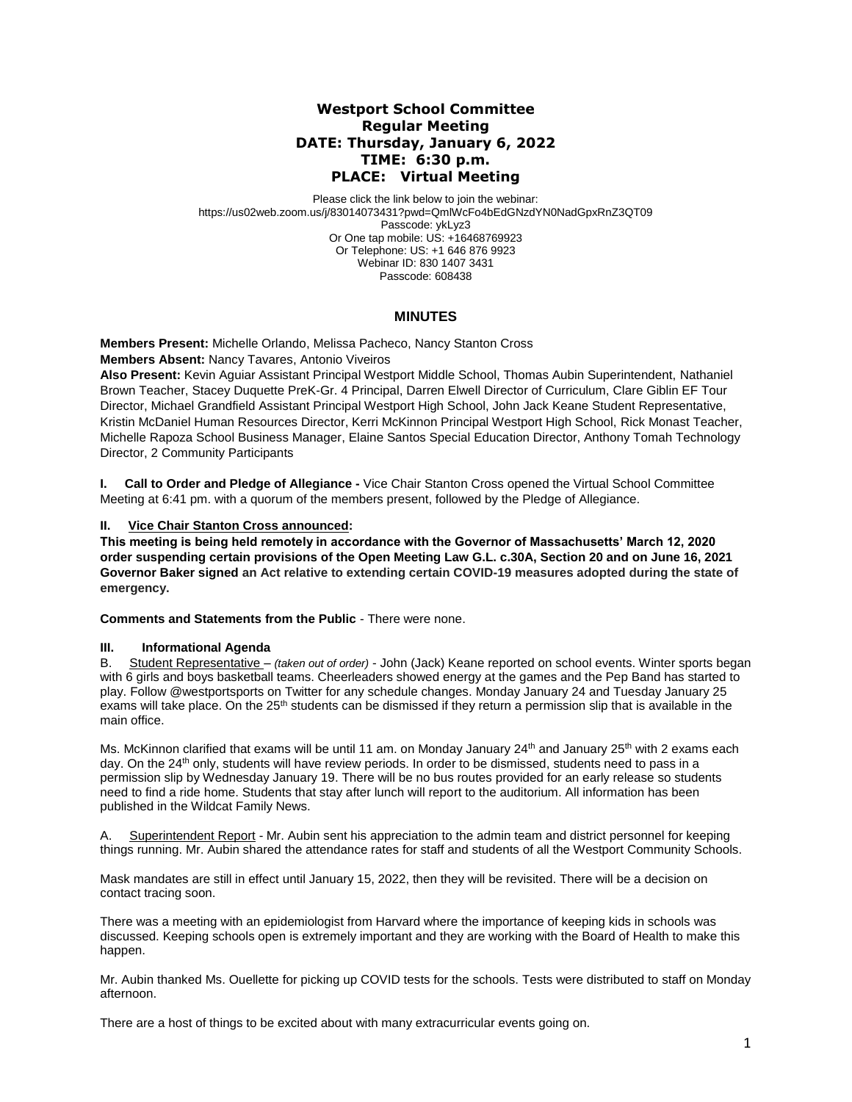# **Westport School Committee Regular Meeting DATE: Thursday, January 6, 2022 TIME: 6:30 p.m. PLACE: Virtual Meeting**

Please click the link below to join the webinar: https://us02web.zoom.us/j/83014073431?pwd=QmlWcFo4bEdGNzdYN0NadGpxRnZ3QT09 Passcode: ykLyz3 Or One tap mobile: US: +16468769923 Or Telephone: US: +1 646 876 9923 Webinar ID: 830 1407 3431 Passcode: 608438

## **MINUTES**

**Members Present:** Michelle Orlando, Melissa Pacheco, Nancy Stanton Cross **Members Absent:** Nancy Tavares, Antonio Viveiros

**Also Present:** Kevin Aguiar Assistant Principal Westport Middle School, Thomas Aubin Superintendent, Nathaniel Brown Teacher, Stacey Duquette PreK-Gr. 4 Principal, Darren Elwell Director of Curriculum, Clare Giblin EF Tour Director, Michael Grandfield Assistant Principal Westport High School, John Jack Keane Student Representative, Kristin McDaniel Human Resources Director, Kerri McKinnon Principal Westport High School, Rick Monast Teacher, Michelle Rapoza School Business Manager, Elaine Santos Special Education Director, Anthony Tomah Technology Director, 2 Community Participants

**I. Call to Order and Pledge of Allegiance -** Vice Chair Stanton Cross opened the Virtual School Committee Meeting at 6:41 pm. with a quorum of the members present, followed by the Pledge of Allegiance.

### **II. Vice Chair Stanton Cross announced:**

**This meeting is being held remotely in accordance with the Governor of Massachusetts' March 12, 2020 order suspending certain provisions of the Open Meeting Law G.L. c.30A, Section 20 and on June 16, 2021 Governor Baker signed an Act relative to extending certain COVID-19 measures adopted during the state of emergency.**

**Comments and Statements from the Public** - There were none.

### **III. Informational Agenda**

B. Student Representative – *(taken out of order)* - John (Jack) Keane reported on school events. Winter sports began with 6 girls and boys basketball teams. Cheerleaders showed energy at the games and the Pep Band has started to play. Follow @westportsports on Twitter for any schedule changes. Monday January 24 and Tuesday January 25 exams will take place. On the  $25<sup>th</sup>$  students can be dismissed if they return a permission slip that is available in the main office.

Ms. McKinnon clarified that exams will be until 11 am. on Monday January 24<sup>th</sup> and January 25<sup>th</sup> with 2 exams each day. On the 24<sup>th</sup> only, students will have review periods. In order to be dismissed, students need to pass in a permission slip by Wednesday January 19. There will be no bus routes provided for an early release so students need to find a ride home. Students that stay after lunch will report to the auditorium. All information has been published in the Wildcat Family News.

A. Superintendent Report - Mr. Aubin sent his appreciation to the admin team and district personnel for keeping things running. Mr. Aubin shared the attendance rates for staff and students of all the Westport Community Schools.

Mask mandates are still in effect until January 15, 2022, then they will be revisited. There will be a decision on contact tracing soon.

There was a meeting with an epidemiologist from Harvard where the importance of keeping kids in schools was discussed. Keeping schools open is extremely important and they are working with the Board of Health to make this happen.

Mr. Aubin thanked Ms. Ouellette for picking up COVID tests for the schools. Tests were distributed to staff on Monday afternoon.

There are a host of things to be excited about with many extracurricular events going on.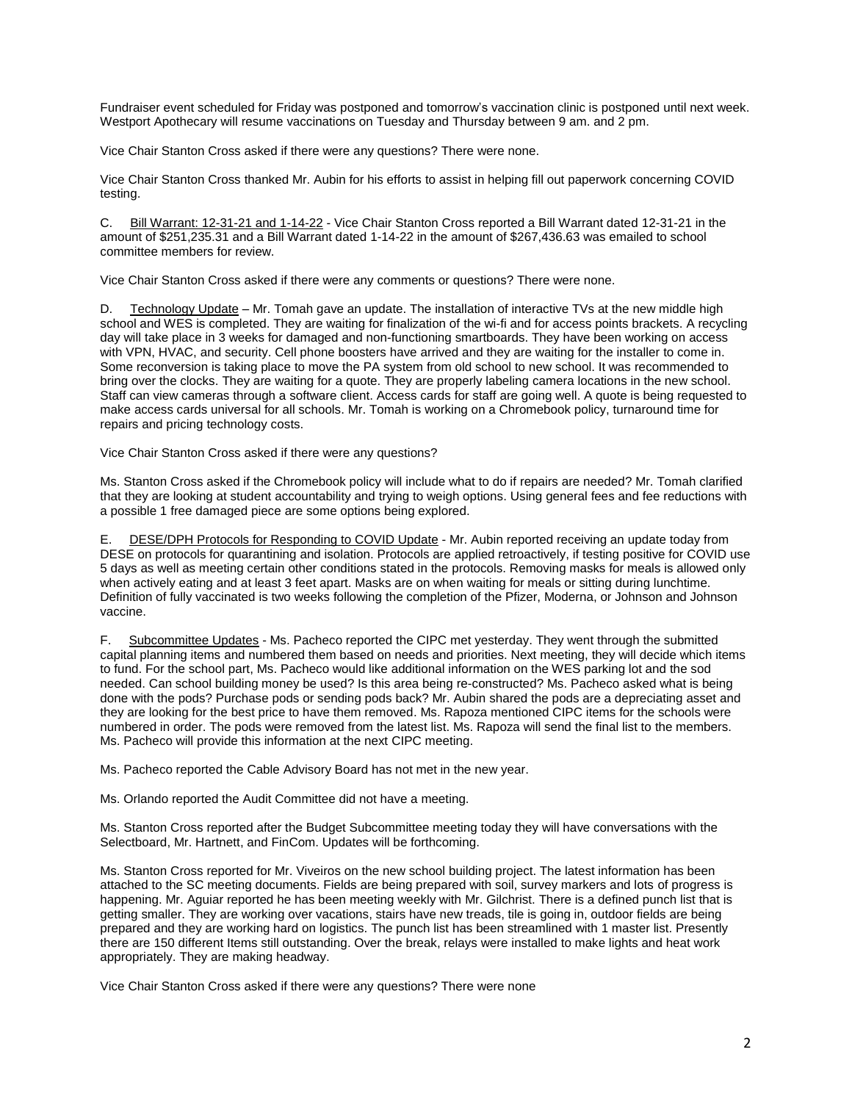Fundraiser event scheduled for Friday was postponed and tomorrow's vaccination clinic is postponed until next week. Westport Apothecary will resume vaccinations on Tuesday and Thursday between 9 am. and 2 pm.

Vice Chair Stanton Cross asked if there were any questions? There were none.

Vice Chair Stanton Cross thanked Mr. Aubin for his efforts to assist in helping fill out paperwork concerning COVID testing.

C. Bill Warrant: 12-31-21 and 1-14-22 - Vice Chair Stanton Cross reported a Bill Warrant dated 12-31-21 in the amount of \$251,235.31 and a Bill Warrant dated 1-14-22 in the amount of \$267,436.63 was emailed to school committee members for review.

Vice Chair Stanton Cross asked if there were any comments or questions? There were none.

D. Technology Update – Mr. Tomah gave an update. The installation of interactive TVs at the new middle high school and WES is completed. They are waiting for finalization of the wi-fi and for access points brackets. A recycling day will take place in 3 weeks for damaged and non-functioning smartboards. They have been working on access with VPN, HVAC, and security. Cell phone boosters have arrived and they are waiting for the installer to come in. Some reconversion is taking place to move the PA system from old school to new school. It was recommended to bring over the clocks. They are waiting for a quote. They are properly labeling camera locations in the new school. Staff can view cameras through a software client. Access cards for staff are going well. A quote is being requested to make access cards universal for all schools. Mr. Tomah is working on a Chromebook policy, turnaround time for repairs and pricing technology costs.

Vice Chair Stanton Cross asked if there were any questions?

Ms. Stanton Cross asked if the Chromebook policy will include what to do if repairs are needed? Mr. Tomah clarified that they are looking at student accountability and trying to weigh options. Using general fees and fee reductions with a possible 1 free damaged piece are some options being explored.

E. DESE/DPH Protocols for Responding to COVID Update - Mr. Aubin reported receiving an update today from DESE on protocols for quarantining and isolation. Protocols are applied retroactively, if testing positive for COVID use 5 days as well as meeting certain other conditions stated in the protocols. Removing masks for meals is allowed only when actively eating and at least 3 feet apart. Masks are on when waiting for meals or sitting during lunchtime. Definition of fully vaccinated is two weeks following the completion of the Pfizer, Moderna, or Johnson and Johnson vaccine.

F. Subcommittee Updates - Ms. Pacheco reported the CIPC met yesterday. They went through the submitted capital planning items and numbered them based on needs and priorities. Next meeting, they will decide which items to fund. For the school part, Ms. Pacheco would like additional information on the WES parking lot and the sod needed. Can school building money be used? Is this area being re-constructed? Ms. Pacheco asked what is being done with the pods? Purchase pods or sending pods back? Mr. Aubin shared the pods are a depreciating asset and they are looking for the best price to have them removed. Ms. Rapoza mentioned CIPC items for the schools were numbered in order. The pods were removed from the latest list. Ms. Rapoza will send the final list to the members. Ms. Pacheco will provide this information at the next CIPC meeting.

Ms. Pacheco reported the Cable Advisory Board has not met in the new year.

Ms. Orlando reported the Audit Committee did not have a meeting.

Ms. Stanton Cross reported after the Budget Subcommittee meeting today they will have conversations with the Selectboard, Mr. Hartnett, and FinCom. Updates will be forthcoming.

Ms. Stanton Cross reported for Mr. Viveiros on the new school building project. The latest information has been attached to the SC meeting documents. Fields are being prepared with soil, survey markers and lots of progress is happening. Mr. Aguiar reported he has been meeting weekly with Mr. Gilchrist. There is a defined punch list that is getting smaller. They are working over vacations, stairs have new treads, tile is going in, outdoor fields are being prepared and they are working hard on logistics. The punch list has been streamlined with 1 master list. Presently there are 150 different Items still outstanding. Over the break, relays were installed to make lights and heat work appropriately. They are making headway.

Vice Chair Stanton Cross asked if there were any questions? There were none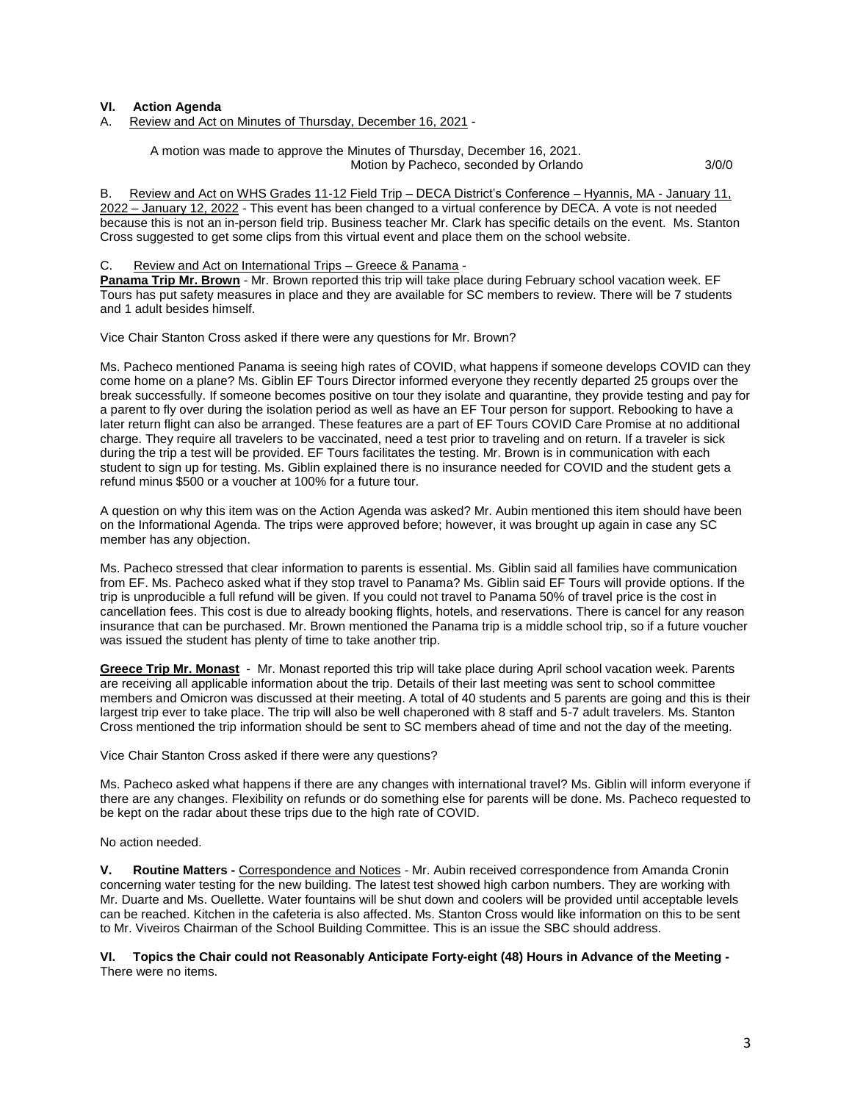#### **VI. Action Agenda**

A. Review and Act on Minutes of Thursday, December 16, 2021 -

A motion was made to approve the Minutes of Thursday, December 16, 2021. Motion by Pacheco, seconded by Orlando 3/0/0

B. Review and Act on WHS Grades 11-12 Field Trip – DECA District's Conference – Hyannis, MA - January 11, 2022 – January 12, 2022 - This event has been changed to a virtual conference by DECA. A vote is not needed because this is not an in-person field trip. Business teacher Mr. Clark has specific details on the event. Ms. Stanton Cross suggested to get some clips from this virtual event and place them on the school website.

#### C. Review and Act on International Trips – Greece & Panama -

**Panama Trip Mr. Brown** - Mr. Brown reported this trip will take place during February school vacation week. EF Tours has put safety measures in place and they are available for SC members to review. There will be 7 students and 1 adult besides himself.

Vice Chair Stanton Cross asked if there were any questions for Mr. Brown?

Ms. Pacheco mentioned Panama is seeing high rates of COVID, what happens if someone develops COVID can they come home on a plane? Ms. Giblin EF Tours Director informed everyone they recently departed 25 groups over the break successfully. If someone becomes positive on tour they isolate and quarantine, they provide testing and pay for a parent to fly over during the isolation period as well as have an EF Tour person for support. Rebooking to have a later return flight can also be arranged. These features are a part of EF Tours COVID Care Promise at no additional charge. They require all travelers to be vaccinated, need a test prior to traveling and on return. If a traveler is sick during the trip a test will be provided. EF Tours facilitates the testing. Mr. Brown is in communication with each student to sign up for testing. Ms. Giblin explained there is no insurance needed for COVID and the student gets a refund minus \$500 or a voucher at 100% for a future tour.

A question on why this item was on the Action Agenda was asked? Mr. Aubin mentioned this item should have been on the Informational Agenda. The trips were approved before; however, it was brought up again in case any SC member has any objection.

Ms. Pacheco stressed that clear information to parents is essential. Ms. Giblin said all families have communication from EF. Ms. Pacheco asked what if they stop travel to Panama? Ms. Giblin said EF Tours will provide options. If the trip is unproducible a full refund will be given. If you could not travel to Panama 50% of travel price is the cost in cancellation fees. This cost is due to already booking flights, hotels, and reservations. There is cancel for any reason insurance that can be purchased. Mr. Brown mentioned the Panama trip is a middle school trip, so if a future voucher was issued the student has plenty of time to take another trip.

**Greece Trip Mr. Monast** - Mr. Monast reported this trip will take place during April school vacation week. Parents are receiving all applicable information about the trip. Details of their last meeting was sent to school committee members and Omicron was discussed at their meeting. A total of 40 students and 5 parents are going and this is their largest trip ever to take place. The trip will also be well chaperoned with 8 staff and 5-7 adult travelers. Ms. Stanton Cross mentioned the trip information should be sent to SC members ahead of time and not the day of the meeting.

Vice Chair Stanton Cross asked if there were any questions?

Ms. Pacheco asked what happens if there are any changes with international travel? Ms. Giblin will inform everyone if there are any changes. Flexibility on refunds or do something else for parents will be done. Ms. Pacheco requested to be kept on the radar about these trips due to the high rate of COVID.

No action needed.

**V. Routine Matters -** Correspondence and Notices - Mr. Aubin received correspondence from Amanda Cronin concerning water testing for the new building. The latest test showed high carbon numbers. They are working with Mr. Duarte and Ms. Ouellette. Water fountains will be shut down and coolers will be provided until acceptable levels can be reached. Kitchen in the cafeteria is also affected. Ms. Stanton Cross would like information on this to be sent to Mr. Viveiros Chairman of the School Building Committee. This is an issue the SBC should address.

**VI. Topics the Chair could not Reasonably Anticipate Forty-eight (48) Hours in Advance of the Meeting -** There were no items.